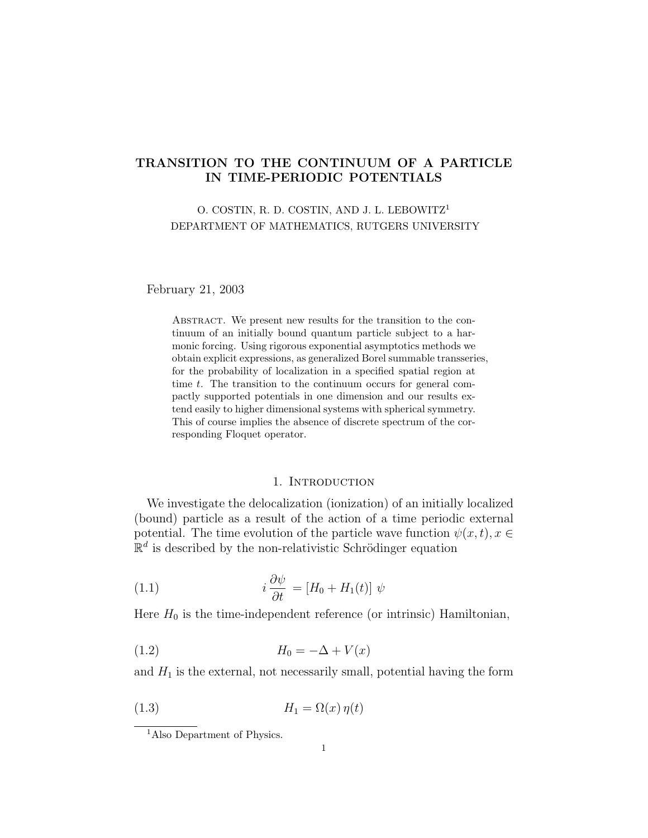# TRANSITION TO THE CONTINUUM OF A PARTICLE IN TIME-PERIODIC POTENTIALS

### O. COSTIN, R. D. COSTIN, AND J. L. LEBOWITZ<sup>1</sup> DEPARTMENT OF MATHEMATICS, RUTGERS UNIVERSITY

February 21, 2003

ABSTRACT. We present new results for the transition to the continuum of an initially bound quantum particle subject to a harmonic forcing. Using rigorous exponential asymptotics methods we obtain explicit expressions, as generalized Borel summable transseries, for the probability of localization in a specified spatial region at time t. The transition to the continuum occurs for general compactly supported potentials in one dimension and our results extend easily to higher dimensional systems with spherical symmetry. This of course implies the absence of discrete spectrum of the corresponding Floquet operator.

### 1. INTRODUCTION

We investigate the delocalization (ionization) of an initially localized (bound) particle as a result of the action of a time periodic external potential. The time evolution of the particle wave function  $\psi(x, t), x \in$  $\mathbb{R}^d$  is described by the non-relativistic Schrödinger equation

(1.1) 
$$
i \frac{\partial \psi}{\partial t} = [H_0 + H_1(t)] \psi
$$

Here  $H_0$  is the time-independent reference (or intrinsic) Hamiltonian,

$$
(1.2) \t\t\t H_0 = -\Delta + V(x)
$$

and  $H_1$  is the external, not necessarily small, potential having the form

$$
(1.3) \t\t\t H_1 = \Omega(x) \eta(t)
$$

<sup>1</sup>Also Department of Physics.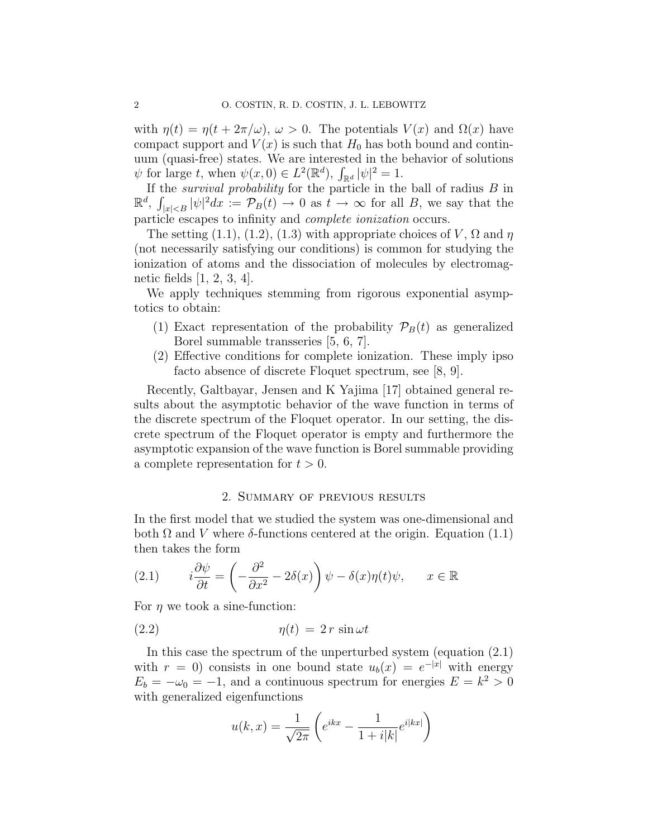with  $\eta(t) = \eta(t + 2\pi/\omega)$ ,  $\omega > 0$ . The potentials  $V(x)$  and  $\Omega(x)$  have compact support and  $V(x)$  is such that  $H_0$  has both bound and continuum (quasi-free) states. We are interested in the behavior of solutions  $\psi$  for large t, when  $\psi(x,0) \in L^2(\mathbb{R}^d)$ ,  $\int_{\mathbb{R}^d} |\psi|^2 = 1$ .

If the *survival probability* for the particle in the ball of radius  $B$  in  $\mathbb{R}^d$ ,  $\int_{|x| as  $t \to \infty$  for all B, we say that the$ particle escapes to infinity and complete ionization occurs.

The setting (1.1), (1.2), (1.3) with appropriate choices of V,  $\Omega$  and  $\eta$ (not necessarily satisfying our conditions) is common for studying the ionization of atoms and the dissociation of molecules by electromagnetic fields [1, 2, 3, 4].

We apply techniques stemming from rigorous exponential asymptotics to obtain:

- (1) Exact representation of the probability  $\mathcal{P}_B(t)$  as generalized Borel summable transseries [5, 6, 7].
- (2) Effective conditions for complete ionization. These imply ipso facto absence of discrete Floquet spectrum, see [8, 9].

Recently, Galtbayar, Jensen and K Yajima [17] obtained general results about the asymptotic behavior of the wave function in terms of the discrete spectrum of the Floquet operator. In our setting, the discrete spectrum of the Floquet operator is empty and furthermore the asymptotic expansion of the wave function is Borel summable providing a complete representation for  $t > 0$ .

#### 2. Summary of previous results

In the first model that we studied the system was one-dimensional and both  $\Omega$  and V where  $\delta$ -functions centered at the origin. Equation (1.1) then takes the form

(2.1) 
$$
i\frac{\partial \psi}{\partial t} = \left(-\frac{\partial^2}{\partial x^2} - 2\delta(x)\right)\psi - \delta(x)\eta(t)\psi, \quad x \in \mathbb{R}
$$

For  $\eta$  we took a sine-function:

$$
(2.2) \t\t \eta(t) = 2 r \sin \omega t
$$

In this case the spectrum of the unperturbed system (equation (2.1) with  $r = 0$ ) consists in one bound state  $u_b(x) = e^{-|x|}$  with energy  $E_b = -\omega_0 = -1$ , and a continuous spectrum for energies  $E = k^2 > 0$ with generalized eigenfunctions

$$
u(k,x) = \frac{1}{\sqrt{2\pi}} \left( e^{ikx} - \frac{1}{1+i|k|} e^{i|kx|} \right)
$$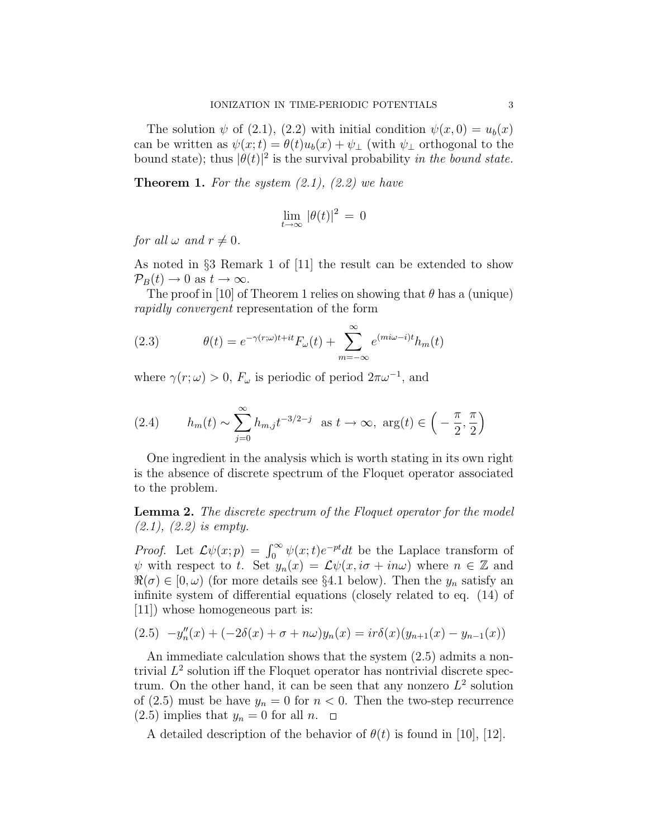The solution  $\psi$  of (2.1), (2.2) with initial condition  $\psi(x,0) = u_b(x)$ can be written as  $\psi(x;t) = \theta(t)u_b(x) + \psi_{\perp}$  (with  $\psi_{\perp}$  orthogonal to the bound state); thus  $|\theta(t)|^2$  is the survival probability in the bound state.

**Theorem 1.** For the system  $(2.1)$ ,  $(2.2)$  we have

$$
\lim_{t\to\infty} \, |\theta(t)|^2 \, = \, 0
$$

for all  $\omega$  and  $r \neq 0$ .

As noted in §3 Remark 1 of [11] the result can be extended to show  $\mathcal{P}_B(t) \to 0$  as  $t \to \infty$ .

The proof in [10] of Theorem 1 relies on showing that  $\theta$  has a (unique) rapidly convergent representation of the form

(2.3) 
$$
\theta(t) = e^{-\gamma(r;\omega)t + it} F_{\omega}(t) + \sum_{m=-\infty}^{\infty} e^{(mi\omega - i)t} h_m(t)
$$

where  $\gamma(r; \omega) > 0$ ,  $F_{\omega}$  is periodic of period  $2\pi\omega^{-1}$ , and

(2.4) 
$$
h_m(t) \sim \sum_{j=0}^{\infty} h_{m,j} t^{-3/2-j}
$$
 as  $t \to \infty$ ,  $\arg(t) \in \left(-\frac{\pi}{2}, \frac{\pi}{2}\right)$ 

One ingredient in the analysis which is worth stating in its own right is the absence of discrete spectrum of the Floquet operator associated to the problem.

**Lemma 2.** The discrete spectrum of the Floquet operator for the model (2.1), (2.2) is empty.

*Proof.* Let  $\mathcal{L}\psi(x;p) = \int_0^\infty \psi(x;t)e^{-pt}dt$  be the Laplace transform of  $\psi$  with respect to t. Set  $y_n(x) = \mathcal{L}\psi(x, i\sigma + in\omega)$  where  $n \in \mathbb{Z}$  and  $\Re(\sigma) \in [0, \omega)$  (for more details see §4.1 below). Then the  $y_n$  satisfy an infinite system of differential equations (closely related to eq. (14) of [11]) whose homogeneous part is:

$$
(2.5) \t -y''_n(x) + (-2\delta(x) + \sigma + n\omega)y_n(x) = ir\delta(x)(y_{n+1}(x) - y_{n-1}(x))
$$

An immediate calculation shows that the system (2.5) admits a nontrivial  $L^2$  solution iff the Floquet operator has nontrivial discrete spectrum. On the other hand, it can be seen that any nonzero  $L^2$  solution of (2.5) must be have  $y_n = 0$  for  $n < 0$ . Then the two-step recurrence  $(2.5)$  implies that  $y_n = 0$  for all  $n.$ 

A detailed description of the behavior of  $\theta(t)$  is found in [10], [12].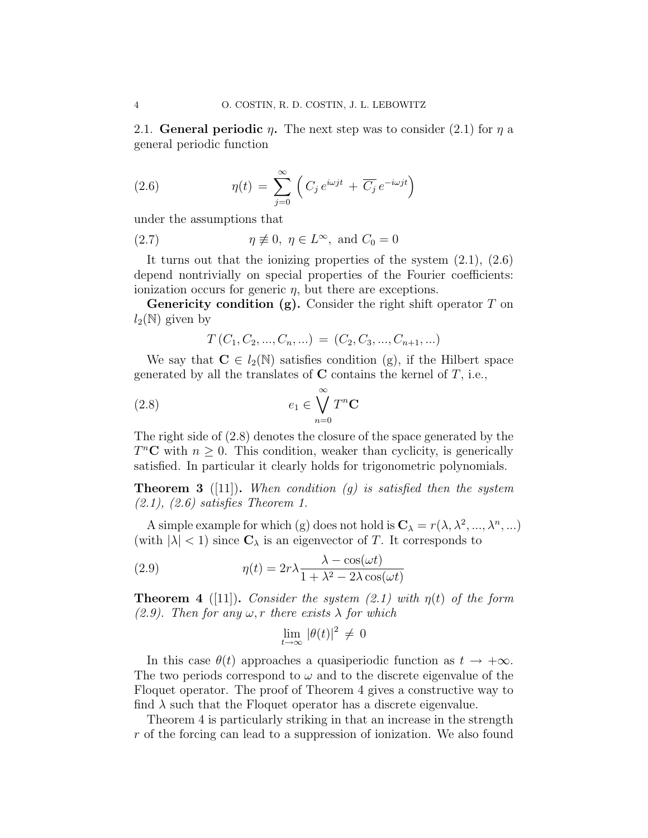2.1. General periodic  $\eta$ . The next step was to consider (2.1) for  $\eta$  a general periodic function

(2.6) 
$$
\eta(t) = \sum_{j=0}^{\infty} \left( C_j e^{i\omega j t} + \overline{C_j} e^{-i\omega j t} \right)
$$

under the assumptions that

(2.7) 
$$
\eta \not\equiv 0, \ \eta \in L^{\infty}, \text{ and } C_0 = 0
$$

It turns out that the ionizing properties of the system  $(2.1)$ ,  $(2.6)$ depend nontrivially on special properties of the Fourier coefficients: ionization occurs for generic  $\eta$ , but there are exceptions.

**Genericity condition (g).** Consider the right shift operator  $T$  on  $l_2(\mathbb{N})$  given by

$$
T(C_1, C_2, ..., C_n, ...) = (C_2, C_3, ..., C_{n+1}, ...)
$$

We say that  $C \in l_2(\mathbb{N})$  satisfies condition (g), if the Hilbert space generated by all the translates of  $C$  contains the kernel of  $T$ , i.e.,

(2.8) 
$$
e_1 \in \bigvee_{n=0}^{\infty} T^n \mathbf{C}
$$

The right side of (2.8) denotes the closure of the space generated by the  $T<sup>n</sup>C$  with  $n \geq 0$ . This condition, weaker than cyclicity, is generically satisfied. In particular it clearly holds for trigonometric polynomials.

**Theorem 3** ([11]). When condition (g) is satisfied then the system  $(2.1), (2.6)$  satisfies Theorem 1.

A simple example for which (g) does not hold is  $\mathbf{C}_{\lambda} = r(\lambda, \lambda^2, ..., \lambda^n, ...)$ (with  $|\lambda| < 1$ ) since  $C_{\lambda}$  is an eigenvector of T. It corresponds to

(2.9) 
$$
\eta(t) = 2r\lambda \frac{\lambda - \cos(\omega t)}{1 + \lambda^2 - 2\lambda \cos(\omega t)}
$$

**Theorem 4** ([11]). Consider the system (2.1) with  $\eta(t)$  of the form  $(2.9)$ . Then for any  $\omega$ , r there exists  $\lambda$  for which

$$
\lim_{t \to \infty} |\theta(t)|^2 \neq 0
$$

In this case  $\theta(t)$  approaches a quasiperiodic function as  $t \to +\infty$ . The two periods correspond to  $\omega$  and to the discrete eigenvalue of the Floquet operator. The proof of Theorem 4 gives a constructive way to find  $\lambda$  such that the Floquet operator has a discrete eigenvalue.

Theorem 4 is particularly striking in that an increase in the strength r of the forcing can lead to a suppression of ionization. We also found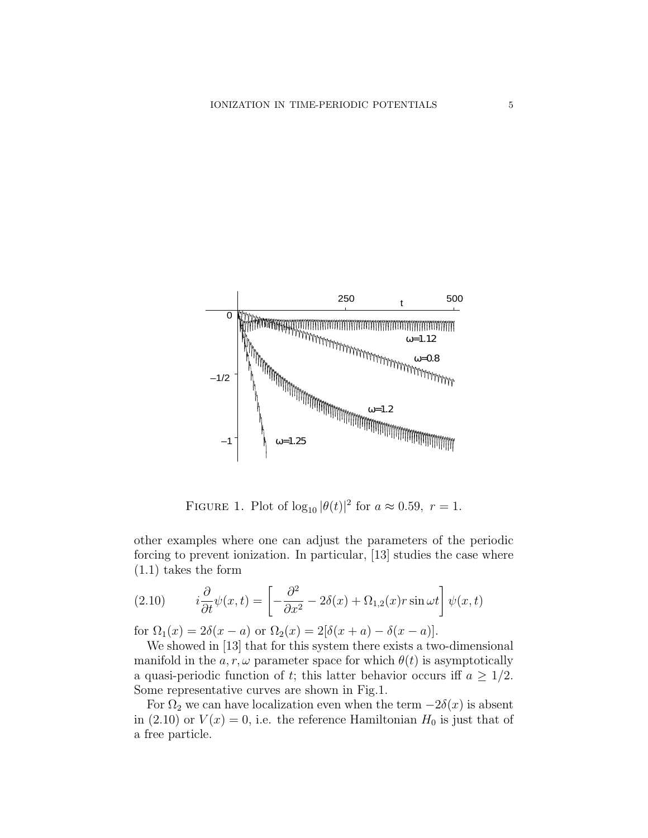

FIGURE 1. Plot of  $\log_{10} |\theta(t)|^2$  for  $a \approx 0.59$ ,  $r = 1$ .

other examples where one can adjust the parameters of the periodic forcing to prevent ionization. In particular, [13] studies the case where (1.1) takes the form

(2.10) 
$$
i\frac{\partial}{\partial t}\psi(x,t) = \left[-\frac{\partial^2}{\partial x^2} - 2\delta(x) + \Omega_{1,2}(x)r\sin\omega t\right]\psi(x,t)
$$

for  $\Omega_1(x) = 2\delta(x-a)$  or  $\Omega_2(x) = 2[\delta(x+a) - \delta(x-a)].$ 

We showed in [13] that for this system there exists a two-dimensional manifold in the  $a, r, \omega$  parameter space for which  $\theta(t)$  is asymptotically a quasi-periodic function of t; this latter behavior occurs iff  $a \geq 1/2$ . Some representative curves are shown in Fig.1.

For  $\Omega_2$  we can have localization even when the term  $-2\delta(x)$  is absent in (2.10) or  $V(x) = 0$ , i.e. the reference Hamiltonian  $H_0$  is just that of a free particle.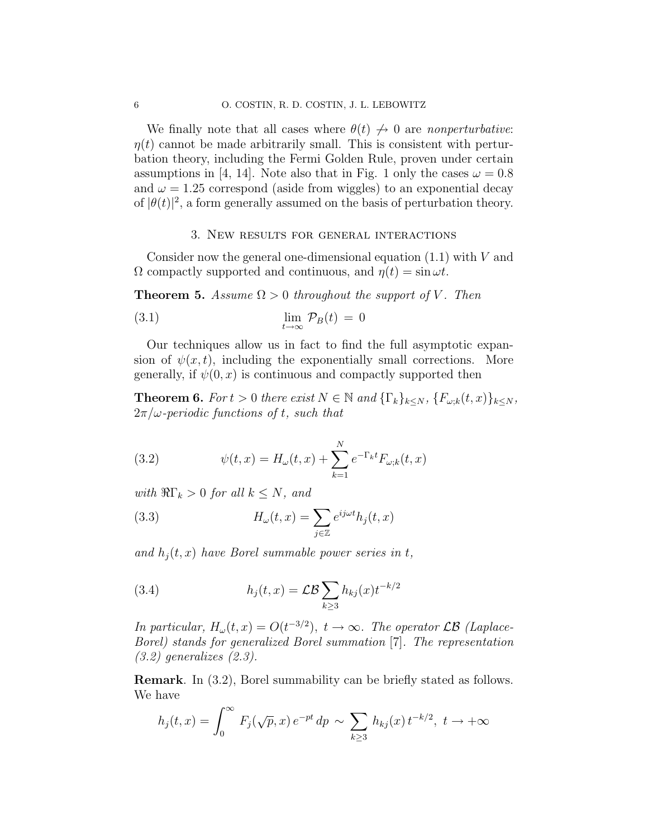We finally note that all cases where  $\theta(t) \nrightarrow 0$  are nonperturbative:  $\eta(t)$  cannot be made arbitrarily small. This is consistent with perturbation theory, including the Fermi Golden Rule, proven under certain assumptions in [4, 14]. Note also that in Fig. 1 only the cases  $\omega = 0.8$ and  $\omega = 1.25$  correspond (aside from wiggles) to an exponential decay of  $|\theta(t)|^2$ , a form generally assumed on the basis of perturbation theory.

#### 3. New results for general interactions

Consider now the general one-dimensional equation  $(1.1)$  with V and  $\Omega$  compactly supported and continuous, and  $\eta(t) = \sin \omega t$ .

**Theorem 5.** Assume  $\Omega > 0$  throughout the support of V. Then

(3.1) 
$$
\lim_{t \to \infty} \mathcal{P}_B(t) = 0
$$

Our techniques allow us in fact to find the full asymptotic expansion of  $\psi(x, t)$ , including the exponentially small corrections. More generally, if  $\psi(0, x)$  is continuous and compactly supported then

**Theorem 6.** For  $t > 0$  there exist  $N \in \mathbb{N}$  and  $\{\Gamma_k\}_{k \leq N}$ ,  $\{F_{\omega;k}(t,x)\}_{k \leq N}$ ,  $2\pi/\omega$ -periodic functions of t, such that

(3.2) 
$$
\psi(t,x) = H_{\omega}(t,x) + \sum_{k=1}^{N} e^{-\Gamma_k t} F_{\omega;k}(t,x)
$$

with  $\Re\Gamma_k > 0$  for all  $k \leq N$ , and

(3.3) 
$$
H_{\omega}(t,x) = \sum_{j\in\mathbb{Z}} e^{ij\omega t} h_j(t,x)
$$

and  $h_i(t, x)$  have Borel summable power series in t,

(3.4) 
$$
h_j(t,x) = \mathcal{LB} \sum_{k \ge 3} h_{kj}(x) t^{-k/2}
$$

In particular,  $H_{\omega}(t,x) = O(t^{-3/2}), t \to \infty$ . The operator  $\mathcal{LB}$  (Laplace-Borel) stands for generalized Borel summation [7]. The representation  $(3.2)$  generalizes  $(2.3)$ .

Remark. In (3.2), Borel summability can be briefly stated as follows. We have

$$
h_j(t, x) = \int_0^\infty F_j(\sqrt{p}, x) e^{-pt} dp \sim \sum_{k \ge 3} h_{kj}(x) t^{-k/2}, t \to +\infty
$$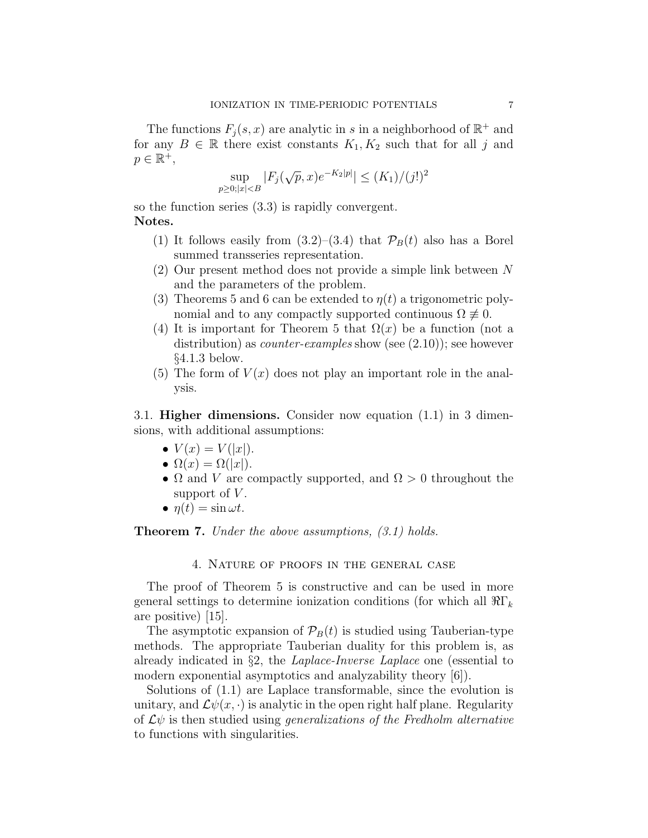The functions  $F_j(s, x)$  are analytic in s in a neighborhood of  $\mathbb{R}^+$  and for any  $B \in \mathbb{R}$  there exist constants  $K_1, K_2$  such that for all j and  $p \in \mathbb{R}^+,$ 

$$
\sup_{p\geq 0; |x| < B} |F_j(\sqrt{p}, x)e^{-K_2|p|}| \leq (K_1)/(j!)^2
$$

so the function series (3.3) is rapidly convergent. Notes.

- (1) It follows easily from  $(3.2)$ – $(3.4)$  that  $\mathcal{P}_B(t)$  also has a Borel summed transseries representation.
- (2) Our present method does not provide a simple link between N and the parameters of the problem.
- (3) Theorems 5 and 6 can be extended to  $\eta(t)$  a trigonometric polynomial and to any compactly supported continuous  $\Omega \neq 0$ .
- (4) It is important for Theorem 5 that  $\Omega(x)$  be a function (not a distribution) as *counter-examples* show (see  $(2.10)$ ); see however §4.1.3 below.
- (5) The form of  $V(x)$  does not play an important role in the analysis.

3.1. Higher dimensions. Consider now equation (1.1) in 3 dimensions, with additional assumptions:

- $V(x) = V(|x|)$ .
- $\Omega(x) = \Omega(|x|)$ .
- $\Omega$  and V are compactly supported, and  $\Omega > 0$  throughout the support of  $V$ .
- $\bullet$   $\eta(t) = \sin \omega t$ .

**Theorem 7.** Under the above assumptions,  $(3.1)$  holds.

4. Nature of proofs in the general case

The proof of Theorem 5 is constructive and can be used in more general settings to determine ionization conditions (for which all  $\Re\Gamma_k$ ) are positive) [15].

The asymptotic expansion of  $P_B(t)$  is studied using Tauberian-type methods. The appropriate Tauberian duality for this problem is, as already indicated in §2, the Laplace-Inverse Laplace one (essential to modern exponential asymptotics and analyzability theory [6]).

Solutions of (1.1) are Laplace transformable, since the evolution is unitary, and  $\mathcal{L}\psi(x, \cdot)$  is analytic in the open right half plane. Regularity of  $\mathcal{L}\psi$  is then studied using *generalizations of the Fredholm alternative* to functions with singularities.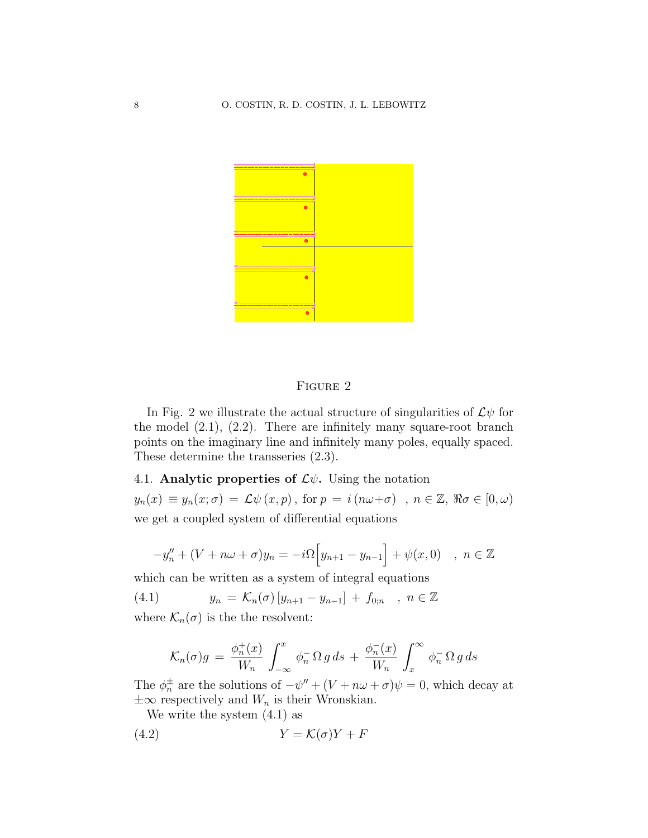

### FIGURE 2

In Fig. 2 we illustrate the actual structure of singularities of  $\mathcal{L}\psi$  for the model  $(2.1)$ ,  $(2.2)$ . There are infinitely many square-root branch points on the imaginary line and infinitely many poles, equally spaced. These determine the transseries (2.3).

# 4.1. Analytic properties of  $\mathcal{L}\psi$ . Using the notation

 $y_n(x) \equiv y_n(x;\sigma) = \mathcal{L}\psi(x,p)$ , for  $p = i(n\omega+\sigma)$ ,  $n \in \mathbb{Z}$ ,  $\Re \sigma \in [0,\omega)$ we get a coupled system of differential equations

$$
-y''_n + (V + n\omega + \sigma)y_n = -i\Omega \Big[y_{n+1} - y_{n-1}\Big] + \psi(x, 0) \quad , \ n \in \mathbb{Z}
$$

which can be written as a system of integral equations

(4.1)  $y_n = \mathcal{K}_n(\sigma) [y_{n+1} - y_{n-1}] + f_{0:n} , n \in \mathbb{Z}$ where  $\mathcal{K}_n(\sigma)$  is the the resolvent:

$$
\mathcal{K}_n(\sigma)g = \frac{\phi_n^+(x)}{W_n} \int_{-\infty}^x \phi_n^-\Omega g \, ds + \frac{\phi_n^-(x)}{W_n} \int_x^\infty \phi_n^-\Omega g \, ds
$$

The  $\phi_n^{\pm}$  are the solutions of  $-\psi'' + (V + n\omega + \sigma)\psi = 0$ , which decay at  $\pm\infty$  respectively and  $W_n$  is their Wronskian.

We write the system (4.1) as

$$
(4.2)\t\t Y = \mathcal{K}(\sigma)Y + F
$$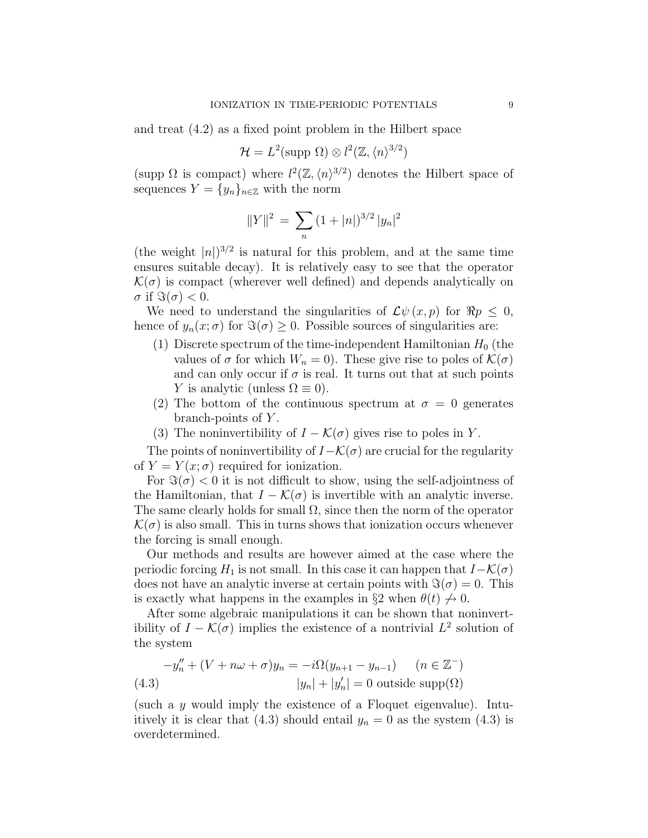and treat (4.2) as a fixed point problem in the Hilbert space

$$
\mathcal{H} = L^2(\text{supp }\Omega) \otimes l^2(\mathbb{Z}, \langle n \rangle^{3/2})
$$

(supp  $\Omega$  is compact) where  $l^2(\mathbb{Z},\langle n\rangle^{3/2})$  denotes the Hilbert space of sequences  $Y = \{y_n\}_{n \in \mathbb{Z}}$  with the norm

$$
||Y||^2 = \sum_{n} (1+|n|)^{3/2} |y_n|^2
$$

(the weight  $|n|$ )<sup>3/2</sup> is natural for this problem, and at the same time ensures suitable decay). It is relatively easy to see that the operator  $\mathcal{K}(\sigma)$  is compact (wherever well defined) and depends analytically on  $\sigma$  if  $\Im(\sigma) < 0$ .

We need to understand the singularities of  $\mathcal{L}\psi(x,p)$  for  $\Re p \leq 0$ , hence of  $y_n(x;\sigma)$  for  $\Im(\sigma) \geq 0$ . Possible sources of singularities are:

- (1) Discrete spectrum of the time-independent Hamiltonian  $H_0$  (the values of  $\sigma$  for which  $W_n = 0$ ). These give rise to poles of  $\mathcal{K}(\sigma)$ and can only occur if  $\sigma$  is real. It turns out that at such points Y is analytic (unless  $\Omega \equiv 0$ ).
- (2) The bottom of the continuous spectrum at  $\sigma = 0$  generates branch-points of  $Y$ .
- (3) The noninvertibility of  $I \mathcal{K}(\sigma)$  gives rise to poles in Y.

The points of noninvertibility of  $I-\mathcal{K}(\sigma)$  are crucial for the regularity of  $Y = Y(x; \sigma)$  required for ionization.

For  $\Im(\sigma) < 0$  it is not difficult to show, using the self-adjointness of the Hamiltonian, that  $I - \mathcal{K}(\sigma)$  is invertible with an analytic inverse. The same clearly holds for small  $\Omega$ , since then the norm of the operator  $\mathcal{K}(\sigma)$  is also small. This in turns shows that ionization occurs whenever the forcing is small enough.

Our methods and results are however aimed at the case where the periodic forcing  $H_1$  is not small. In this case it can happen that  $I-\mathcal{K}(\sigma)$ does not have an analytic inverse at certain points with  $\Im(\sigma) = 0$ . This is exactly what happens in the examples in §2 when  $\theta(t) \nrightarrow 0$ .

After some algebraic manipulations it can be shown that noninvertibility of  $I - \mathcal{K}(\sigma)$  implies the existence of a nontrivial  $L^2$  solution of the system

$$
-y''_n + (V + n\omega + \sigma)y_n = -i\Omega(y_{n+1} - y_{n-1}) \quad (n \in \mathbb{Z}^-)
$$
  
(4.3) 
$$
|y_n| + |y'_n| = 0 \text{ outside } \text{supp}(\Omega)
$$

(such a y would imply the existence of a Floquet eigenvalue). Intuitively it is clear that (4.3) should entail  $y_n = 0$  as the system (4.3) is overdetermined.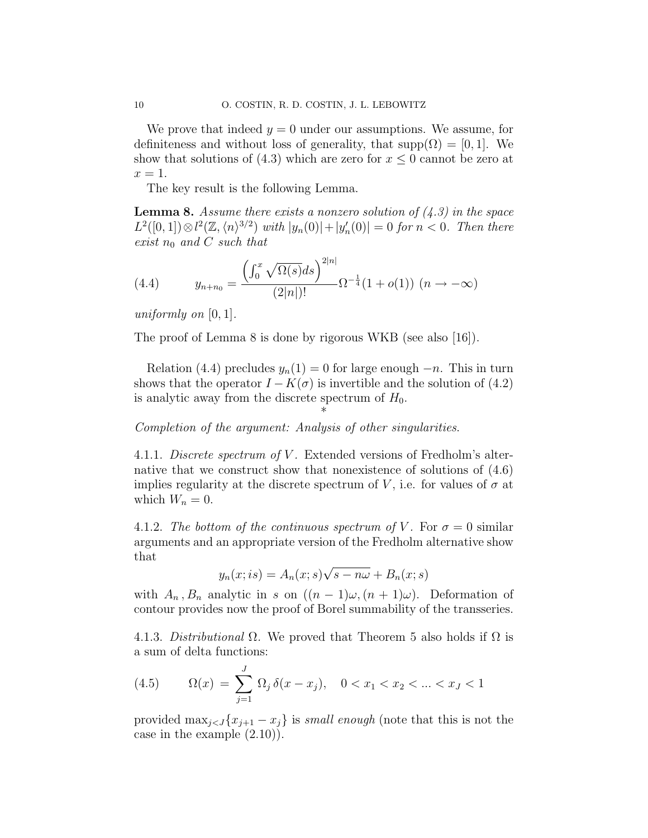We prove that indeed  $y = 0$  under our assumptions. We assume, for definiteness and without loss of generality, that  $supp(\Omega) = [0, 1]$ . We show that solutions of (4.3) which are zero for  $x \leq 0$  cannot be zero at  $x=1$ .

The key result is the following Lemma.

**Lemma 8.** Assume there exists a nonzero solution of  $(4.3)$  in the space  $L^2([0,1]) \otimes l^2(\mathbb{Z}, \langle n \rangle^{3/2})$  with  $|y_n(0)| + |y_n'(0)| = 0$  for  $n < 0$ . Then there exist  $n_0$  and C such that

(4.4) 
$$
y_{n+n_0} = \frac{\left(\int_0^x \sqrt{\Omega(s)}ds\right)^{2|n|}}{(2|n|)!} \Omega^{-\frac{1}{4}}(1+o(1)) \ (n \to -\infty)
$$

uniformly on  $[0, 1]$ .

The proof of Lemma 8 is done by rigorous WKB (see also [16]).

Relation (4.4) precludes  $y_n(1) = 0$  for large enough  $-n$ . This in turn shows that the operator  $I - K(\sigma)$  is invertible and the solution of (4.2) is analytic away from the discrete spectrum of  $H_0$ .

\*

Completion of the argument: Analysis of other singularities.

4.1.1. Discrete spectrum of V. Extended versions of Fredholm's alternative that we construct show that nonexistence of solutions of (4.6) implies regularity at the discrete spectrum of V, i.e. for values of  $\sigma$  at which  $W_n = 0$ .

4.1.2. The bottom of the continuous spectrum of V. For  $\sigma = 0$  similar arguments and an appropriate version of the Fredholm alternative show that √

$$
y_n(x; is) = A_n(x; s)\sqrt{s - n\omega} + B_n(x; s)
$$

with  $A_n$ ,  $B_n$  analytic in s on  $((n-1)\omega, (n+1)\omega)$ . Deformation of contour provides now the proof of Borel summability of the transseries.

4.1.3. Distributional  $\Omega$ . We proved that Theorem 5 also holds if  $\Omega$  is a sum of delta functions:

(4.5) 
$$
\Omega(x) = \sum_{j=1}^{J} \Omega_j \, \delta(x - x_j), \quad 0 < x_1 < x_2 < \dots < x_J < 1
$$

provided  $\max_{j \leq J} \{x_{j+1} - x_j\}$  is small enough (note that this is not the case in the example (2.10)).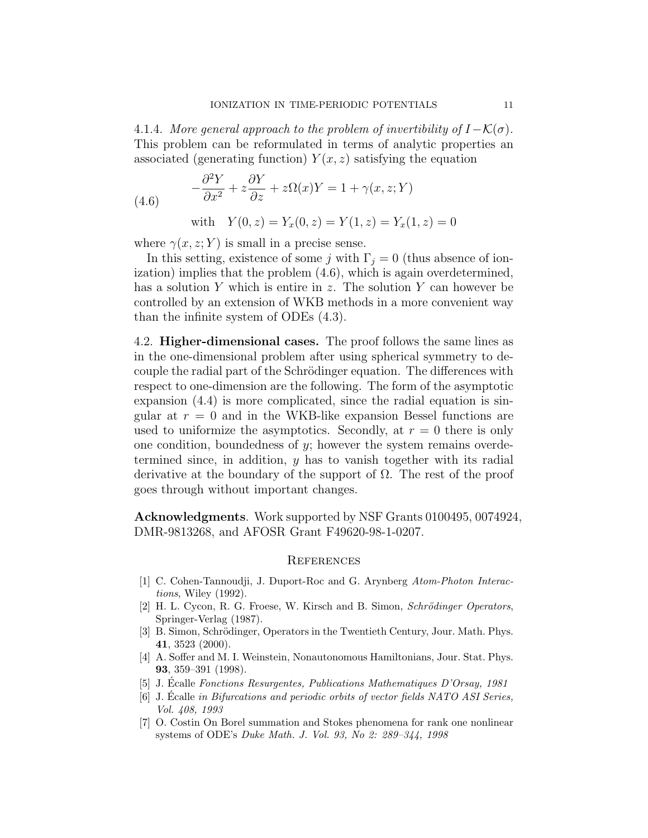4.1.4. More general approach to the problem of invertibility of  $I-\mathcal{K}(\sigma)$ . This problem can be reformulated in terms of analytic properties an associated (generating function)  $Y(x, z)$  satisfying the equation

(4.6) 
$$
-\frac{\partial^2 Y}{\partial x^2} + z \frac{\partial Y}{\partial z} + z \Omega(x)Y = 1 + \gamma(x, z; Y)
$$

with  $Y(0, z) = Y_x(0, z) = Y(1, z) = Y_x(1, z) = 0$ 

where  $\gamma(x, z; Y)$  is small in a precise sense.

In this setting, existence of some j with  $\Gamma_i = 0$  (thus absence of ionization) implies that the problem  $(4.6)$ , which is again overdetermined, has a solution Y which is entire in z. The solution Y can however be controlled by an extension of WKB methods in a more convenient way than the infinite system of ODEs (4.3).

4.2. Higher-dimensional cases. The proof follows the same lines as in the one-dimensional problem after using spherical symmetry to decouple the radial part of the Schrödinger equation. The differences with respect to one-dimension are the following. The form of the asymptotic expansion (4.4) is more complicated, since the radial equation is singular at  $r = 0$  and in the WKB-like expansion Bessel functions are used to uniformize the asymptotics. Secondly, at  $r = 0$  there is only one condition, boundedness of y; however the system remains overdetermined since, in addition, y has to vanish together with its radial derivative at the boundary of the support of  $\Omega$ . The rest of the proof goes through without important changes.

Acknowledgments. Work supported by NSF Grants 0100495, 0074924, DMR-9813268, and AFOSR Grant F49620-98-1-0207.

#### **REFERENCES**

- [1] C. Cohen-Tannoudji, J. Duport-Roc and G. Arynberg Atom-Photon Interactions, Wiley (1992).
- [2] H. L. Cycon, R. G. Froese, W. Kirsch and B. Simon, Schrödinger Operators, Springer-Verlag (1987).
- [3] B. Simon, Schrödinger, Operators in the Twentieth Century, Jour. Math. Phys. 41, 3523 (2000).
- [4] A. Soffer and M. I. Weinstein, Nonautonomous Hamiltonians, Jour. Stat. Phys. 93, 359–391 (1998).
- [5] J. Ecalle Fonctions Resurgentes, Publications Mathematiques D'Orsay, 1981
- $[6]$  J. Écalle in Bifurcations and periodic orbits of vector fields NATO ASI Series, Vol. 408, 1993
- [7] O. Costin On Borel summation and Stokes phenomena for rank one nonlinear systems of ODE's Duke Math. J. Vol. 93, No 2: 289–344, 1998